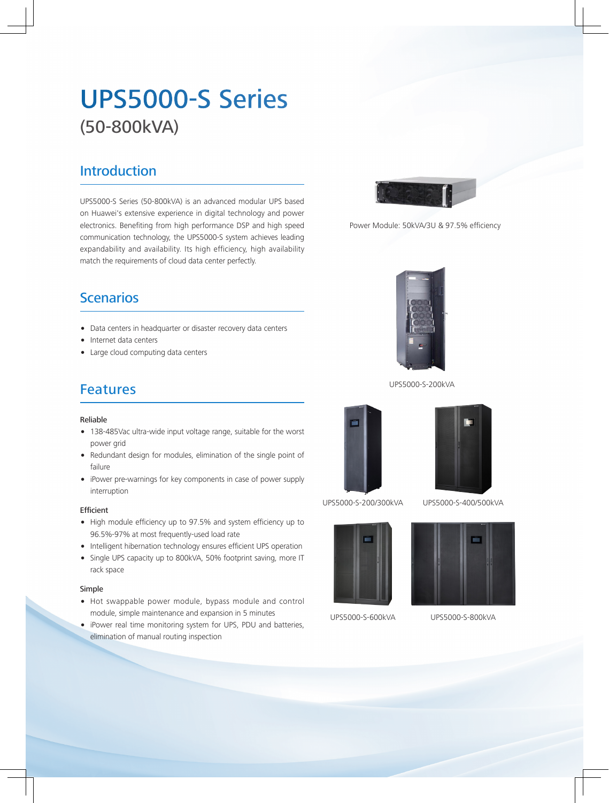# UPS5000-S Series (50-800kVA)

### **Introduction**

UPS5000-S Series (50-800kVA) is an advanced modular UPS based on Huawei's extensive experience in digital technology and power electronics. Benefiting from high performance DSP and high speed communication technology, the UPS5000-S system achieves leading expandability and availability. Its high efficiency, high availability match the requirements of cloud data center perfectly.



Power Module: 50kVA/3U & 97.5% efficiency

### **Scenarios**

- Data centers in headquarter or disaster recovery data centers
- Internet data centers
- Large cloud computing data centers

### Features

#### Reliable

- 138-485Vac ultra-wide input voltage range, suitable for the worst power grid
- Redundant design for modules, elimination of the single point of failure
- iPower pre-warnings for key components in case of power supply interruption

#### Efficient

- High module efficiency up to 97.5% and system efficiency up to 96.5%-97% at most frequently-used load rate
- Intelligent hibernation technology ensures efficient UPS operation
- Single UPS capacity up to 800kVA, 50% footprint saving, more IT rack space

#### Simple

- Hot swappable power module, bypass module and control module, simple maintenance and expansion in 5 minutes
- iPower real time monitoring system for UPS, PDU and batteries, elimination of manual routing inspection



UPS5000-S-200kVA





UPS5000-S-200/300kVA UPS5000-S-400/500kVA







UPS5000-S-800kVA